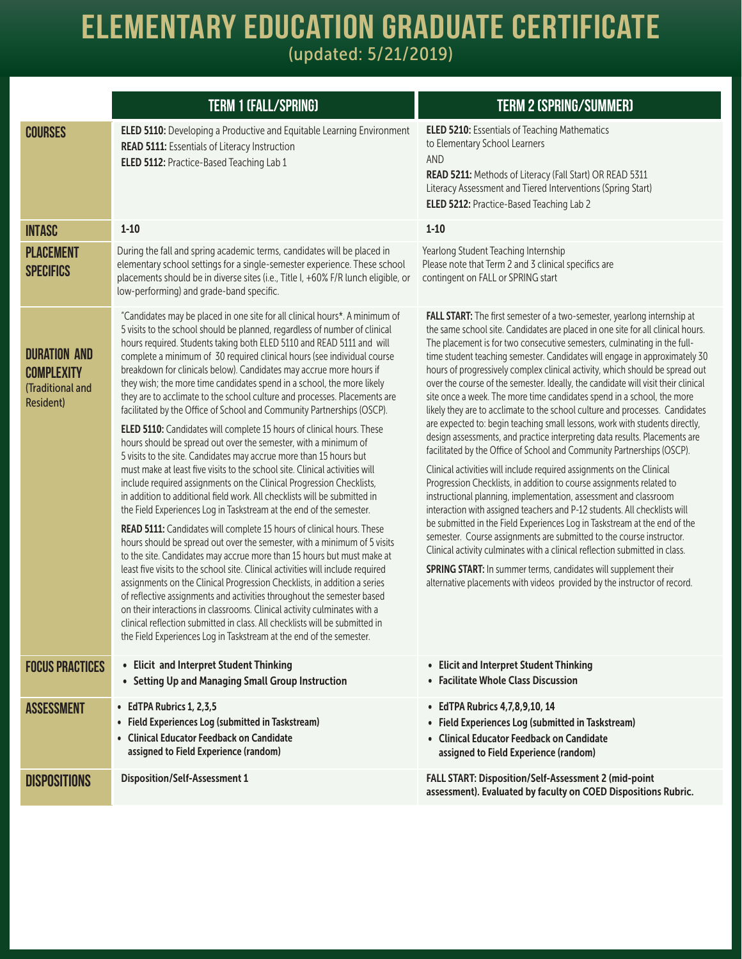## **Elementary Education Graduate Certificate**

(updated: 5/21/2019)

|                                                                                  | <b>TERM 1 (FALL/SPRING)</b>                                                                                                                                                                                                                                                                                                                                                                                                                                                                                                                                                                                                                                                                                                                                                                                                                                                                                                                                                                                                                                                                                                                                                                                                                                                                                                                                                                                                                                                                                                                                                                                                                                                                                                                                                                                                                                  | <b>TERM 2 (SPRING/SUMMER)</b>                                                                                                                                                                                                                                                                                                                                                                                                                                                                                                                                                                                                                                                                                                                                                                                                                                                                                                                                                                                                                                                                                                                                                                                                                                                                                                                                                                                                                                                                                                                                                    |
|----------------------------------------------------------------------------------|--------------------------------------------------------------------------------------------------------------------------------------------------------------------------------------------------------------------------------------------------------------------------------------------------------------------------------------------------------------------------------------------------------------------------------------------------------------------------------------------------------------------------------------------------------------------------------------------------------------------------------------------------------------------------------------------------------------------------------------------------------------------------------------------------------------------------------------------------------------------------------------------------------------------------------------------------------------------------------------------------------------------------------------------------------------------------------------------------------------------------------------------------------------------------------------------------------------------------------------------------------------------------------------------------------------------------------------------------------------------------------------------------------------------------------------------------------------------------------------------------------------------------------------------------------------------------------------------------------------------------------------------------------------------------------------------------------------------------------------------------------------------------------------------------------------------------------------------------------------|----------------------------------------------------------------------------------------------------------------------------------------------------------------------------------------------------------------------------------------------------------------------------------------------------------------------------------------------------------------------------------------------------------------------------------------------------------------------------------------------------------------------------------------------------------------------------------------------------------------------------------------------------------------------------------------------------------------------------------------------------------------------------------------------------------------------------------------------------------------------------------------------------------------------------------------------------------------------------------------------------------------------------------------------------------------------------------------------------------------------------------------------------------------------------------------------------------------------------------------------------------------------------------------------------------------------------------------------------------------------------------------------------------------------------------------------------------------------------------------------------------------------------------------------------------------------------------|
| <b>COURSES</b>                                                                   | <b>ELED 5110:</b> Developing a Productive and Equitable Learning Environment<br><b>READ 5111: Essentials of Literacy Instruction</b><br>ELED 5112: Practice-Based Teaching Lab 1                                                                                                                                                                                                                                                                                                                                                                                                                                                                                                                                                                                                                                                                                                                                                                                                                                                                                                                                                                                                                                                                                                                                                                                                                                                                                                                                                                                                                                                                                                                                                                                                                                                                             | <b>ELED 5210: Essentials of Teaching Mathematics</b><br>to Elementary School Learners<br>AND<br>READ 5211: Methods of Literacy (Fall Start) OR READ 5311<br>Literacy Assessment and Tiered Interventions (Spring Start)<br>ELED 5212: Practice-Based Teaching Lab 2                                                                                                                                                                                                                                                                                                                                                                                                                                                                                                                                                                                                                                                                                                                                                                                                                                                                                                                                                                                                                                                                                                                                                                                                                                                                                                              |
| <b>INTASC</b>                                                                    | $1 - 10$                                                                                                                                                                                                                                                                                                                                                                                                                                                                                                                                                                                                                                                                                                                                                                                                                                                                                                                                                                                                                                                                                                                                                                                                                                                                                                                                                                                                                                                                                                                                                                                                                                                                                                                                                                                                                                                     | $1 - 10$                                                                                                                                                                                                                                                                                                                                                                                                                                                                                                                                                                                                                                                                                                                                                                                                                                                                                                                                                                                                                                                                                                                                                                                                                                                                                                                                                                                                                                                                                                                                                                         |
| <b>PLACEMENT</b><br><b>SPECIFICS</b>                                             | During the fall and spring academic terms, candidates will be placed in<br>elementary school settings for a single-semester experience. These school<br>placements should be in diverse sites (i.e., Title I, +60% F/R lunch eligible, or<br>low-performing) and grade-band specific.                                                                                                                                                                                                                                                                                                                                                                                                                                                                                                                                                                                                                                                                                                                                                                                                                                                                                                                                                                                                                                                                                                                                                                                                                                                                                                                                                                                                                                                                                                                                                                        | Yearlong Student Teaching Internship<br>Please note that Term 2 and 3 clinical specifics are<br>contingent on FALL or SPRING start                                                                                                                                                                                                                                                                                                                                                                                                                                                                                                                                                                                                                                                                                                                                                                                                                                                                                                                                                                                                                                                                                                                                                                                                                                                                                                                                                                                                                                               |
| <b>DURATION AND</b><br><b>COMPLEXITY</b><br>(Traditional and<br><b>Resident)</b> | "Candidates may be placed in one site for all clinical hours*. A minimum of<br>5 visits to the school should be planned, regardless of number of clinical<br>hours required. Students taking both ELED 5110 and READ 5111 and will<br>complete a minimum of 30 required clinical hours (see individual course<br>breakdown for clinicals below). Candidates may accrue more hours if<br>they wish; the more time candidates spend in a school, the more likely<br>they are to acclimate to the school culture and processes. Placements are<br>facilitated by the Office of School and Community Partnerships (OSCP).<br>ELED 5110: Candidates will complete 15 hours of clinical hours. These<br>hours should be spread out over the semester, with a minimum of<br>5 visits to the site. Candidates may accrue more than 15 hours but<br>must make at least five visits to the school site. Clinical activities will<br>include required assignments on the Clinical Progression Checklists,<br>in addition to additional field work. All checklists will be submitted in<br>the Field Experiences Log in Taskstream at the end of the semester.<br>READ 5111: Candidates will complete 15 hours of clinical hours. These<br>hours should be spread out over the semester, with a minimum of 5 visits<br>to the site. Candidates may accrue more than 15 hours but must make at<br>least five visits to the school site. Clinical activities will include required<br>assignments on the Clinical Progression Checklists, in addition a series<br>of reflective assignments and activities throughout the semester based<br>on their interactions in classrooms. Clinical activity culminates with a<br>clinical reflection submitted in class. All checklists will be submitted in<br>the Field Experiences Log in Taskstream at the end of the semester. | FALL START: The first semester of a two-semester, yearlong internship at<br>the same school site. Candidates are placed in one site for all clinical hours.<br>The placement is for two consecutive semesters, culminating in the full-<br>time student teaching semester. Candidates will engage in approximately 30<br>hours of progressively complex clinical activity, which should be spread out<br>over the course of the semester. Ideally, the candidate will visit their clinical<br>site once a week. The more time candidates spend in a school, the more<br>likely they are to acclimate to the school culture and processes. Candidates<br>are expected to: begin teaching small lessons, work with students directly,<br>design assessments, and practice interpreting data results. Placements are<br>facilitated by the Office of School and Community Partnerships (OSCP).<br>Clinical activities will include required assignments on the Clinical<br>Progression Checklists, in addition to course assignments related to<br>instructional planning, implementation, assessment and classroom<br>interaction with assigned teachers and P-12 students. All checklists will<br>be submitted in the Field Experiences Log in Taskstream at the end of the<br>semester. Course assignments are submitted to the course instructor.<br>Clinical activity culminates with a clinical reflection submitted in class.<br>SPRING START: In summer terms, candidates will supplement their<br>alternative placements with videos provided by the instructor of record. |
| <b>FOCUS PRACTICES</b>                                                           | • Elicit and Interpret Student Thinking<br>• Setting Up and Managing Small Group Instruction                                                                                                                                                                                                                                                                                                                                                                                                                                                                                                                                                                                                                                                                                                                                                                                                                                                                                                                                                                                                                                                                                                                                                                                                                                                                                                                                                                                                                                                                                                                                                                                                                                                                                                                                                                 | • Elicit and Interpret Student Thinking<br>• Facilitate Whole Class Discussion                                                                                                                                                                                                                                                                                                                                                                                                                                                                                                                                                                                                                                                                                                                                                                                                                                                                                                                                                                                                                                                                                                                                                                                                                                                                                                                                                                                                                                                                                                   |
| <b>ASSESSMENT</b>                                                                | • EdTPA Rubrics 1, 2,3,5<br>• Field Experiences Log (submitted in Taskstream)<br>• Clinical Educator Feedback on Candidate<br>assigned to Field Experience (random)                                                                                                                                                                                                                                                                                                                                                                                                                                                                                                                                                                                                                                                                                                                                                                                                                                                                                                                                                                                                                                                                                                                                                                                                                                                                                                                                                                                                                                                                                                                                                                                                                                                                                          | • EdTPA Rubrics 4,7,8,9,10, 14<br>• Field Experiences Log (submitted in Taskstream)<br>• Clinical Educator Feedback on Candidate<br>assigned to Field Experience (random)                                                                                                                                                                                                                                                                                                                                                                                                                                                                                                                                                                                                                                                                                                                                                                                                                                                                                                                                                                                                                                                                                                                                                                                                                                                                                                                                                                                                        |
| <b>DISPOSITIONS</b>                                                              | <b>Disposition/Self-Assessment 1</b>                                                                                                                                                                                                                                                                                                                                                                                                                                                                                                                                                                                                                                                                                                                                                                                                                                                                                                                                                                                                                                                                                                                                                                                                                                                                                                                                                                                                                                                                                                                                                                                                                                                                                                                                                                                                                         | FALL START: Disposition/Self-Assessment 2 (mid-point<br>assessment). Evaluated by faculty on COED Dispositions Rubric.                                                                                                                                                                                                                                                                                                                                                                                                                                                                                                                                                                                                                                                                                                                                                                                                                                                                                                                                                                                                                                                                                                                                                                                                                                                                                                                                                                                                                                                           |